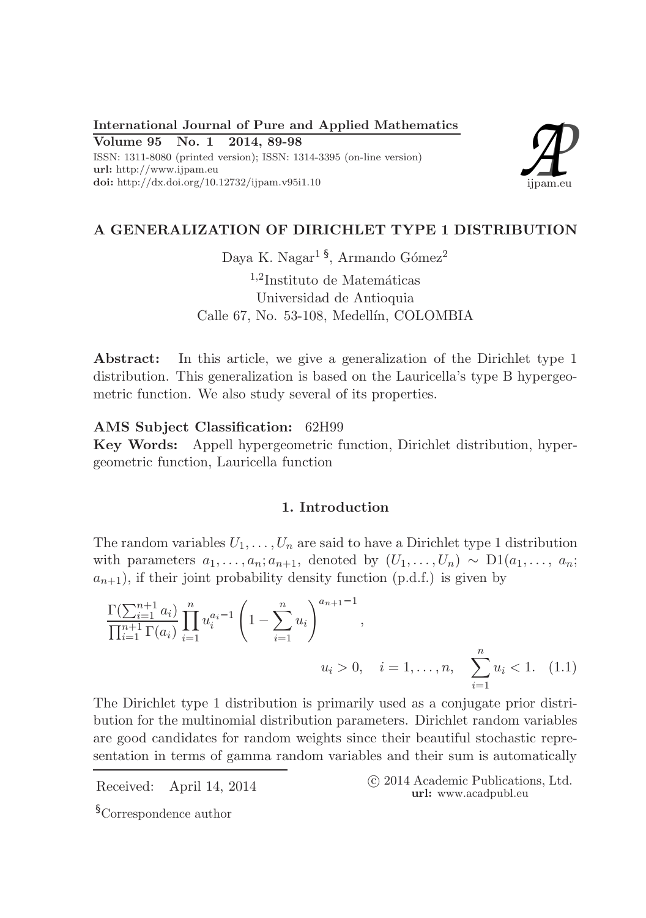International Journal of Pure and Applied Mathematics

Volume 95 No. 1 2014, 89-98 ISSN: 1311-8080 (printed version); ISSN: 1314-3395 (on-line version) url: http://www.ijpam.eu doi: http://dx.doi.org/10.12732/ijpam.v95i1.10



# A GENERALIZATION OF DIRICHLET TYPE 1 DISTRIBUTION

Daya K. Nagar<sup>15</sup>, Armando Gómez<sup>2</sup>

 $1,2$ Instituto de Matemáticas Universidad de Antioquia Calle 67, No. 53-108, Medellín, COLOMBIA

Abstract: In this article, we give a generalization of the Dirichlet type 1 distribution. This generalization is based on the Lauricella's type B hypergeometric function. We also study several of its properties.

## AMS Subject Classification: 62H99

Key Words: Appell hypergeometric function, Dirichlet distribution, hypergeometric function, Lauricella function

### 1. Introduction

The random variables  $U_1, \ldots, U_n$  are said to have a Dirichlet type 1 distribution with parameters  $a_1, \ldots, a_n; a_{n+1}$ , denoted by  $(U_1, \ldots, U_n) \sim D1(a_1, \ldots, a_n;$  $a_{n+1}$ , if their joint probability density function (p.d.f.) is given by

$$
\frac{\Gamma(\sum_{i=1}^{n+1} a_i)}{\prod_{i=1}^{n+1} \Gamma(a_i)} \prod_{i=1}^n u_i^{a_i-1} \left(1 - \sum_{i=1}^n u_i\right)^{a_{n+1}-1},
$$
\n
$$
u_i > 0, \quad i = 1, ..., n, \quad \sum_{i=1}^n u_i < 1. \quad (1.1)
$$

The Dirichlet type 1 distribution is primarily used as a conjugate prior distribution for the multinomial distribution parameters. Dirichlet random variables are good candidates for random weights since their beautiful stochastic representation in terms of gamma random variables and their sum is automatically

Received: April 14, 2014 (C 2014 Academic Publications, Ltd. url: www.acadpubl.eu

§Correspondence author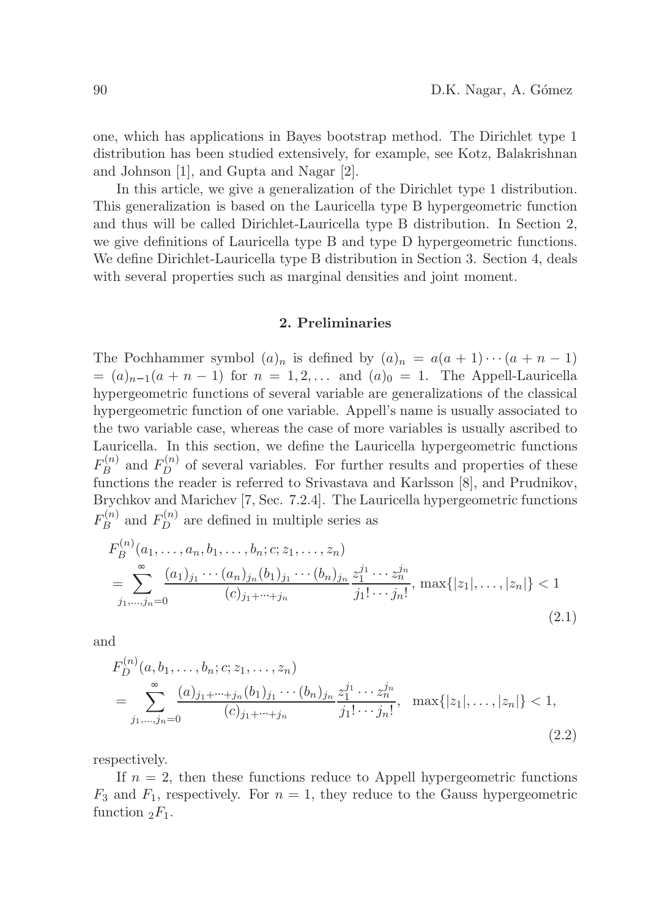one, which has applications in Bayes bootstrap method. The Dirichlet type 1 distribution has been studied extensively, for example, see Kotz, Balakrishnan and Johnson [1], and Gupta and Nagar [2].

In this article, we give a generalization of the Dirichlet type 1 distribution. This generalization is based on the Lauricella type B hypergeometric function and thus will be called Dirichlet-Lauricella type B distribution. In Section 2, we give definitions of Lauricella type B and type D hypergeometric functions. We define Dirichlet-Lauricella type B distribution in Section 3. Section 4, deals with several properties such as marginal densities and joint moment.

#### 2. Preliminaries

The Pochhammer symbol  $(a)_n$  is defined by  $(a)_n = a(a+1)\cdots(a+n-1)$  $=(a)_{n-1}(a + n - 1)$  for  $n = 1, 2, \ldots$  and  $(a)_0 = 1$ . The Appell-Lauricella hypergeometric functions of several variable are generalizations of the classical hypergeometric function of one variable. Appell's name is usually associated to the two variable case, whereas the case of more variables is usually ascribed to Lauricella. In this section, we define the Lauricella hypergeometric functions  $F^{(n)}_B$  $B_B^{(n)}$  and  $F_D^{(n)}$  of several variables. For further results and properties of these functions the reader is referred to Srivastava and Karlsson [8], and Prudnikov, Brychkov and Marichev [7, Sec. 7.2.4]. The Lauricella hypergeometric functions  $F^{(n)}_B$  $E_B^{(n)}$  and  $F_D^{(n)}$  $D^{(n)}$  are defined in multiple series as

$$
F_B^{(n)}(a_1, \ldots, a_n, b_1, \ldots, b_n; c; z_1, \ldots, z_n)
$$
  
= 
$$
\sum_{j_1, \ldots, j_n=0} \frac{(a_1)_{j_1} \cdots (a_n)_{j_n} (b_1)_{j_1} \cdots (b_n)_{j_n}}{(c)_{j_1 + \cdots + j_n}} \frac{z_1^{j_1} \cdots z_n^{j_n}}{j_1! \cdots j_n!}, \max\{|z_1|, \ldots, |z_n|\} < 1
$$
  
(2.1)

and

$$
F_D^{(n)}(a, b_1, \dots, b_n; c; z_1, \dots, z_n)
$$
  
= 
$$
\sum_{j_1, \dots, j_n=0} \frac{(a)_{j_1 + \dots + j_n} (b_1)_{j_1} \dots (b_n)_{j_n}}{(c)_{j_1 + \dots + j_n}} \frac{z_1^{j_1} \dots z_n^{j_n}}{j_1! \dots j_n!}, \quad \max\{|z_1|, \dots, |z_n|\} < 1,
$$
 (2.2)

respectively.

If  $n = 2$ , then these functions reduce to Appell hypergeometric functions  $F_3$  and  $F_1$ , respectively. For  $n = 1$ , they reduce to the Gauss hypergeometric function  $_2F_1$ .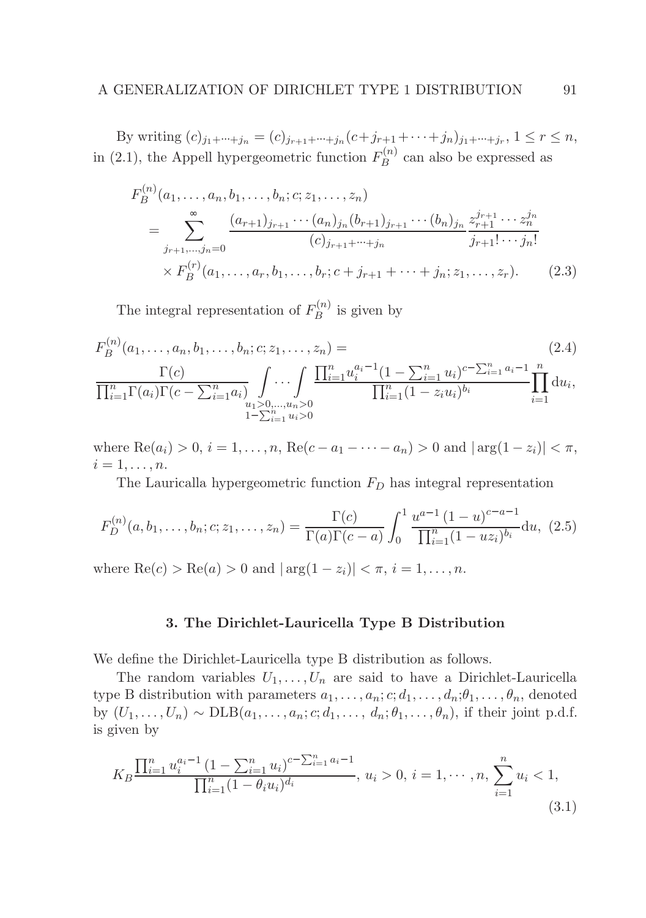By writing  $(c)_{j_1+\cdots+j_n} = (c)_{j_{r+1}+\cdots+j_n}(c+j_{r+1}+\cdots+j_n)_{j_1+\cdots+j_r}, 1 \leq r \leq n,$ in (2.1), the Appell hypergeometric function  $F_B^{(n)}$  $B_B^{(n)}$  can also be expressed as

$$
F_B^{(n)}(a_1, \ldots, a_n, b_1, \ldots, b_n; c; z_1, \ldots, z_n)
$$
  
= 
$$
\sum_{j_{r+1}, \ldots, j_n=0} \frac{(a_{r+1})_{j_{r+1}} \cdots (a_n)_{j_n} (b_{r+1})_{j_{r+1}} \cdots (b_n)_{j_n}}{(c)_{j_{r+1}+\cdots+j_n}} \frac{z_{r+1}^{j_{r+1}} \cdots z_n^{j_n}}{j_{r+1}! \cdots j_n!}
$$
  
×  $F_B^{(r)}(a_1, \ldots, a_r, b_1, \ldots, b_r; c+j_{r+1}+\cdots+j_n; z_1, \ldots, z_r).$  (2.3)

The integral representation of  $F_R^{(n)}$  $B^{(n)}$  is given by

$$
F_B^{(n)}(a_1, \ldots, a_n, b_1, \ldots, b_n; c; z_1, \ldots, z_n) =
$$
\n
$$
\frac{\Gamma(c)}{\prod_{i=1}^n \Gamma(a_i)\Gamma(c - \sum_{i=1}^n a_i)} \int \cdots \int \frac{\prod_{i=1}^n u_i^{a_i-1} (1 - \sum_{i=1}^n u_i)^{c - \sum_{i=1}^n a_i-1} n}{\prod_{i=1}^n (1 - z_i u_i)^{b_i}} \prod_{i=1}^n du_i,
$$
\n
$$
\prod_{j=\sum_{i=1}^n u_j > 0} (2.4)
$$
\n
$$
\prod_{i=1}^n \Gamma(a_i) \Gamma(c - \sum_{i=1}^n a_i) \prod_{i=1}^n u_i > 0
$$

where  $\text{Re}(a_i) > 0, i = 1, \ldots, n$ ,  $\text{Re}(c - a_1 - \cdots - a_n) > 0$  and  $|\arg(1 - z_i)| < \pi$ ,  $i=1,\ldots,n$ .

The Lauricalla hypergeometric function  $F_D$  has integral representation

$$
F_D^{(n)}(a, b_1, \dots, b_n; c; z_1, \dots, z_n) = \frac{\Gamma(c)}{\Gamma(a)\Gamma(c-a)} \int_0^1 \frac{u^{a-1}(1-u)^{c-a-1}}{\prod_{i=1}^n (1-uz_i)^{b_i}} du, (2.5)
$$

where  $\text{Re}(c) > \text{Re}(a) > 0$  and  $|\arg(1 - z_i)| < \pi$ ,  $i = 1, ..., n$ .

#### 3. The Dirichlet-Lauricella Type B Distribution

We define the Dirichlet-Lauricella type B distribution as follows.

The random variables  $U_1, \ldots, U_n$  are said to have a Dirichlet-Lauricella type B distribution with parameters  $a_1, \ldots, a_n; c; d_1, \ldots, d_n; \theta_1, \ldots, \theta_n$ , denoted by  $(U_1, \ldots, U_n) \sim \text{DLB}(a_1, \ldots, a_n; c; d_1, \ldots, d_n; \theta_1, \ldots, \theta_n)$ , if their joint p.d.f. is given by

$$
K_B \frac{\prod_{i=1}^n u_i^{a_i-1} (1 - \sum_{i=1}^n u_i)^{c - \sum_{i=1}^n a_i - 1}}{\prod_{i=1}^n (1 - \theta_i u_i)^{d_i}}, \ u_i > 0, \ i = 1, \cdots, n, \ \sum_{i=1}^n u_i < 1,
$$
\n(3.1)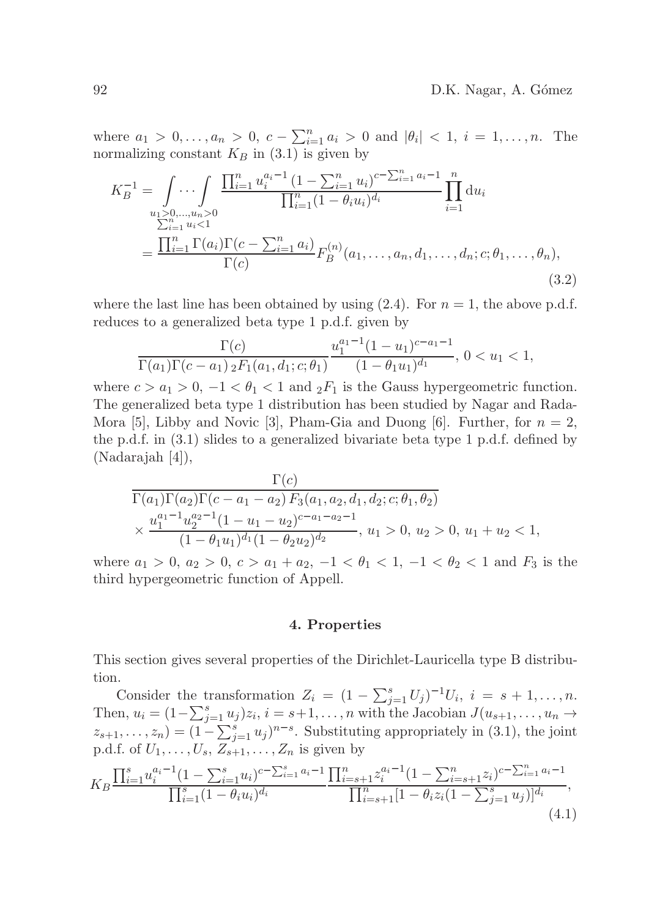where  $a_1 > 0, ..., a_n > 0$ ,  $c - \sum_{i=1}^n a_i > 0$  and  $|\theta_i| < 1$ ,  $i = 1, ..., n$ . The normalizing constant  $K_B$  in (3.1) is given by

$$
K_B^{-1} = \int_{u_1>0,...,u_n>0} \prod_{i=1}^n u_i^{a_i-1} \frac{(1-\sum_{i=1}^n u_i)^{c-\sum_{i=1}^n a_i-1}}{\prod_{i=1}^n (1-\theta_i u_i)^{d_i}} \prod_{i=1}^n du_i
$$
  
= 
$$
\frac{\prod_{i=1}^n \Gamma(a_i) \Gamma(c-\sum_{i=1}^n a_i)}{\Gamma(c)} F_B^{(n)}(a_1,...,a_n, d_1,...,d_n; c; \theta_1,..., \theta_n),
$$
  
(3.2)

where the last line has been obtained by using  $(2.4)$ . For  $n = 1$ , the above p.d.f. reduces to a generalized beta type 1 p.d.f. given by

$$
\frac{\Gamma(c)}{\Gamma(a_1)\Gamma(c-a_1) \, {}_2F_1(a_1,d_1;c;\theta_1)} \frac{u_1^{a_1-1}(1-u_1)^{c-a_1-1}}{(1-\theta_1u_1)^{d_1}}, \ 0 < u_1 < 1,
$$

where  $c > a_1 > 0, -1 < \theta_1 < 1$  and  ${}_2F_1$  is the Gauss hypergeometric function. The generalized beta type 1 distribution has been studied by Nagar and Rada-Mora [5], Libby and Novic [3], Pham-Gia and Duong [6]. Further, for  $n = 2$ , the p.d.f. in (3.1) slides to a generalized bivariate beta type 1 p.d.f. defined by (Nadarajah [4]),

$$
\frac{\Gamma(c)}{\Gamma(a_1)\Gamma(a_2)\Gamma(c-a_1-a_2) F_3(a_1,a_2,d_1,d_2;c;\theta_1,\theta_2)} \times \frac{u_1^{a_1-1}u_2^{a_2-1}(1-u_1-u_2)^{c-a_1-a_2-1}}{(1-\theta_1u_1)^{d_1}(1-\theta_2u_2)^{d_2}}, u_1 > 0, u_2 > 0, u_1 + u_2 < 1,
$$

where  $a_1 > 0$ ,  $a_2 > 0$ ,  $c > a_1 + a_2$ ,  $-1 < \theta_1 < 1$ ,  $-1 < \theta_2 < 1$  and  $F_3$  is the third hypergeometric function of Appell.

#### 4. Properties

This section gives several properties of the Dirichlet-Lauricella type B distribution.

Consider the transformation  $Z_i = (1 - \sum_{j=1}^s U_j)^{-1} U_i, i = s + 1, \ldots, n$ . Then,  $u_i = (1 - \sum_{j=1}^s u_j)z_i, i = s+1,\ldots,n$  with the Jacobian  $J(u_{s+1},\ldots,u_n \rightarrow$  $z_{s+1}, \ldots, z_n = (1 - \sum_{j=1}^s u_j)^{n-s}$ . Substituting appropriately in (3.1), the joint p.d.f. of  $U_1, \ldots, U_s, Z_{s+1}, \ldots, Z_n$  is given by

$$
K_B \frac{\prod_{i=1}^s u_i^{a_i-1} (1 - \sum_{i=1}^s u_i)^{c - \sum_{i=1}^s a_i-1} \prod_{i=s+1}^n z_i^{a_i-1} (1 - \sum_{i=s+1}^n z_i)^{c - \sum_{i=1}^n a_i-1}}{\prod_{i=s+1}^n [1 - \theta_i z_i (1 - \sum_{j=1}^s u_j)]^{d_i}},
$$
\n(4.1)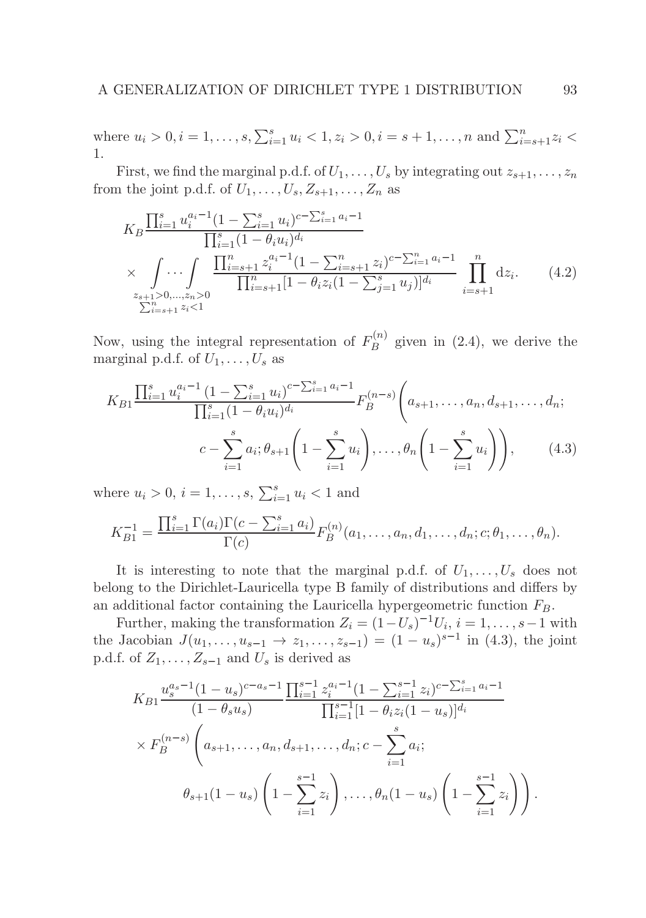where  $u_i > 0, i = 1, ..., s, \sum_{i=1}^s u_i < 1, z_i > 0, i = s+1, ..., n$  and  $\sum_{i=s+1}^n z_i <$ 1.

First, we find the marginal p.d.f. of  $U_1, \ldots, U_s$  by integrating out  $z_{s+1}, \ldots, z_n$ from the joint p.d.f. of  $U_1, \ldots, U_s, Z_{s+1}, \ldots, Z_n$  as

$$
K_B \frac{\prod_{i=1}^s u_i^{a_i-1} (1 - \sum_{i=1}^s u_i)^{c - \sum_{i=1}^s a_i-1}}{\prod_{i=1}^s (1 - \theta_i u_i)^{d_i}}
$$
  
 
$$
\times \int \cdots \int \frac{\prod_{i=s+1}^n z_i^{a_i-1} (1 - \sum_{i=s+1}^n z_i)^{c - \sum_{i=1}^n a_i-1}}{\prod_{i=s+1}^n [1 - \theta_i z_i (1 - \sum_{j=1}^s u_j)]^{d_i}} \prod_{i=s+1}^n dz_i.
$$
 (4.2)  

$$
\sum_{i=s+1}^{n_s} z_i < 1
$$

Now, using the integral representation of  $F_R^{(n)}$  $B^{(n)}$  given in (2.4), we derive the marginal p.d.f. of  $U_1, \ldots, U_s$  as

$$
K_{B1} \frac{\prod_{i=1}^{s} u_i^{a_i-1} (1 - \sum_{i=1}^{s} u_i)^{c - \sum_{i=1}^{s} a_i-1}}{\prod_{i=1}^{s} (1 - \theta_i u_i)^{d_i}} F_B^{(n-s)}\left(a_{s+1}, \dots, a_n, d_{s+1}, \dots, d_n; \dots, c - \sum_{i=1}^{s} a_i; \theta_{s+1} \left(1 - \sum_{i=1}^{s} u_i\right), \dots, \theta_n \left(1 - \sum_{i=1}^{s} u_i\right)\right), \dots, (4.3)
$$

where  $u_i > 0$ ,  $i = 1, ..., s$ ,  $\sum_{i=1}^{s} u_i < 1$  and

$$
K_{B1}^{-1} = \frac{\prod_{i=1}^{s} \Gamma(a_i) \Gamma(c - \sum_{i=1}^{s} a_i)}{\Gamma(c)} F_B^{(n)}(a_1, \dots, a_n, d_1, \dots, d_n; c; \theta_1, \dots, \theta_n).
$$

It is interesting to note that the marginal p.d.f. of  $U_1, \ldots, U_s$  does not belong to the Dirichlet-Lauricella type B family of distributions and differs by an additional factor containing the Lauricella hypergeometric function  $F_B$ .

Further, making the transformation  $Z_i = (1-U_s)^{-1}U_i$ ,  $i = 1, \ldots, s-1$  with the Jacobian  $J(u_1, \ldots, u_{s-1} \to z_1, \ldots, z_{s-1}) = (1 - u_s)^{s-1}$  in (4.3), the joint p.d.f. of  $Z_1, \ldots, Z_{s-1}$  and  $U_s$  is derived as

$$
K_{B1} \frac{u_s^{a_s-1} (1 - u_s)^{c-a_s-1}}{(1 - \theta_s u_s)} \frac{\prod_{i=1}^{s-1} z_i^{a_i-1} (1 - \sum_{i=1}^{s-1} z_i)^{c-\sum_{i=1}^s a_i-1}}{\prod_{i=1}^{s-1} [1 - \theta_i z_i (1 - u_s)]^{d_i}}
$$
  
 
$$
\times F_B^{(n-s)} \left( a_{s+1}, \dots, a_n, d_{s+1}, \dots, d_n; c - \sum_{i=1}^s a_i;
$$
  
\n
$$
\theta_{s+1} (1 - u_s) \left( 1 - \sum_{i=1}^{s-1} z_i \right), \dots, \theta_n (1 - u_s) \left( 1 - \sum_{i=1}^{s-1} z_i \right) \right).
$$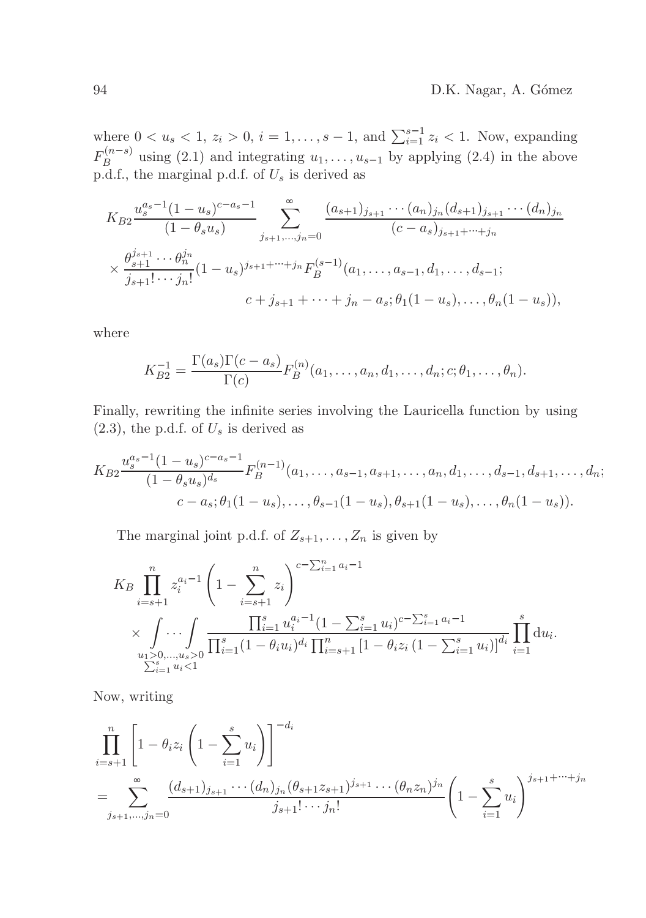where  $0 < u_s < 1, z_i > 0, i = 1, ..., s - 1$ , and  $\sum_{i=1}^{s-1} z_i < 1$ . Now, expanding  $F_R^{(n-s)}$  $B_B^{(u-s)}$  using (2.1) and integrating  $u_1, \ldots, u_{s-1}$  by applying (2.4) in the above p.d.f., the marginal p.d.f. of  $U_s$  is derived as

$$
K_{B2} \frac{u_s^{a_s-1} (1 - u_s)^{c-a_s-1}}{(1 - \theta_s u_s)} \sum_{j_{s+1},...,j_n=0} \frac{(a_{s+1})_{j_{s+1}} \cdots (a_n)_{j_n} (d_{s+1})_{j_{s+1}} \cdots (d_n)_{j_n}}{(c-a_s)_{j_{s+1}+\cdots+j_n}}
$$
  

$$
\times \frac{\theta_{s+1}^{j_{s+1}} \cdots \theta_n^{j_n}}{j_{s+1}! \cdots j_n!} (1 - u_s)^{j_{s+1}+\cdots+j_n} F_B^{(s-1)}(a_1, \ldots, a_{s-1}, d_1, \ldots, d_{s-1};
$$
  

$$
c + j_{s+1} + \cdots + j_n - a_s; \theta_1 (1 - u_s), \ldots, \theta_n (1 - u_s)),
$$

where

$$
K_{B2}^{-1} = \frac{\Gamma(a_s)\Gamma(c-a_s)}{\Gamma(c)} F_B^{(n)}(a_1,\ldots,a_n,d_1,\ldots,d_n;c;\theta_1,\ldots,\theta_n).
$$

Finally, rewriting the infinite series involving the Lauricella function by using  $(2.3)$ , the p.d.f. of  $U_s$  is derived as

$$
K_{B2} \frac{u_s^{a_s-1} (1-u_s)^{c-a_s-1}}{(1-\theta_s u_s)^{d_s}} F_B^{(n-1)}(a_1,\ldots,a_{s-1},a_{s+1},\ldots,a_n,d_1,\ldots,d_{s-1},d_{s+1},\ldots,d_n; c - a_s; \theta_1(1-u_s),\ldots,\theta_{s-1}(1-u_s),\theta_{s+1}(1-u_s),\ldots,\theta_n(1-u_s)).
$$

The marginal joint p.d.f. of  $Z_{s+1}, \ldots, Z_n$  is given by

$$
K_B \prod_{i=s+1}^n z_i^{a_i-1} \left(1 - \sum_{i=s+1}^n z_i\right)^{c-\sum_{i=1}^n a_i-1}
$$
  
\$\times \int \cdots \int\_{u\_1>0, ..., u\_s>0} \frac{\prod\_{i=1}^s u\_i^{a\_i-1} (1 - \sum\_{i=1}^s u\_i)^{c-\sum\_{i=1}^s a\_i-1}}{\prod\_{i=1}^s (1 - \theta\_i u\_i)^{d\_i} \prod\_{i=s+1}^n [1 - \theta\_i z\_i (1 - \sum\_{i=1}^s u\_i)]^{d\_i}} \prod\_{i=1}^s du\_i.

Now, writing

$$
\prod_{i=s+1}^{n} \left[ 1 - \theta_i z_i \left( 1 - \sum_{i=1}^{s} u_i \right) \right]^{-d_i}
$$
\n
$$
= \sum_{j_{s+1},...,j_n=0} \frac{(d_{s+1})_{j_{s+1}} \cdots (d_n)_{j_n} (\theta_{s+1} z_{s+1})^{j_{s+1}} \cdots (\theta_n z_n)^{j_n}}{j_{s+1}! \cdots j_n!} \left( 1 - \sum_{i=1}^{s} u_i \right)^{j_{s+1} + \cdots + j_n}
$$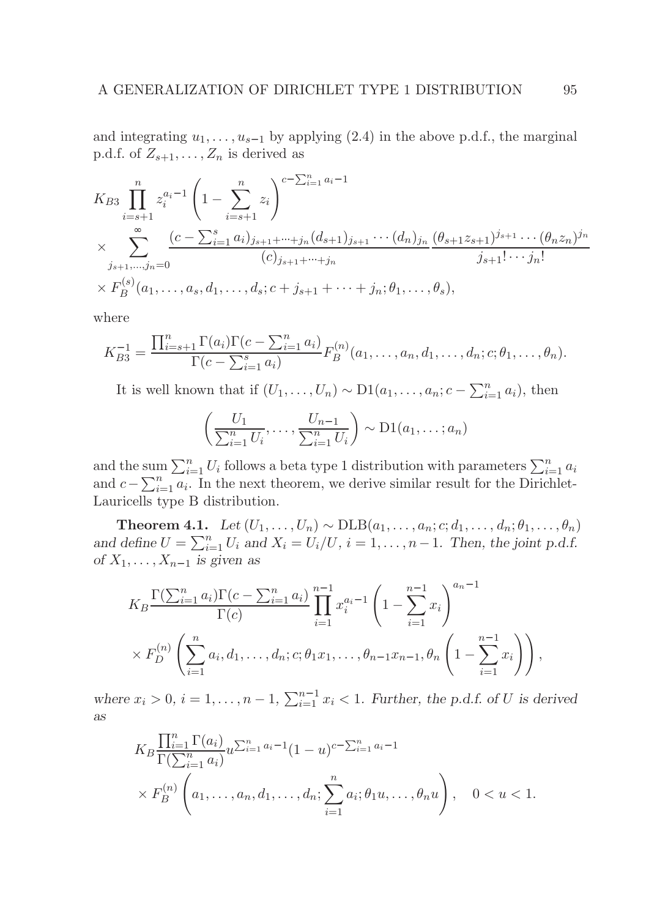and integrating  $u_1, \ldots, u_{s-1}$  by applying (2.4) in the above p.d.f., the marginal p.d.f. of  $Z_{s+1}, \ldots, Z_n$  is derived as

$$
K_{B3} \prod_{i=s+1}^{n} z_i^{a_i-1} \left(1 - \sum_{i=s+1}^{n} z_i\right)^{c-\sum_{i=1}^{n} a_i-1}
$$
  
\n
$$
\times \sum_{j_{s+1},\dots,j_n=0} \frac{(c-\sum_{i=1}^{s} a_i)_{j_{s+1}+\dots+j_n} (d_{s+1})_{j_{s+1}} \cdots (d_n)_{j_n}}{(c)_{j_{s+1}+\dots+j_n}} \frac{(\theta_{s+1} z_{s+1})^{j_{s+1}} \cdots (\theta_n z_n)^{j_n}}{j_{s+1}! \cdots j_n!}
$$
  
\n
$$
\times F_B^{(s)}(a_1,\dots,a_s,d_1,\dots,d_s;c+j_{s+1}+\dots+j_n;\theta_1,\dots,\theta_s),
$$

where

$$
K_{B3}^{-1} = \frac{\prod_{i=s+1}^{n} \Gamma(a_i) \Gamma(c - \sum_{i=1}^{n} a_i)}{\Gamma(c - \sum_{i=1}^{s} a_i)} F_B^{(n)}(a_1, \dots, a_n, d_1, \dots, d_n; c; \theta_1, \dots, \theta_n).
$$

It is well known that if  $(U_1, \ldots, U_n) \sim D1(a_1, \ldots, a_n; c - \sum_{i=1}^n a_i)$ , then

$$
\left(\frac{U_1}{\sum_{i=1}^n U_i}, \dots, \frac{U_{n-1}}{\sum_{i=1}^n U_i}\right) \sim \mathrm{D1}(a_1, \dots; a_n)
$$

and the sum  $\sum_{i=1}^{n} U_i$  follows a beta type 1 distribution with parameters  $\sum_{i=1}^{n} a_i$ and  $c - \sum_{i=1}^{n} a_i$ . In the next theorem, we derive similar result for the Dirichlet-Lauricells type B distribution.

**Theorem 4.1.** Let  $(U_1, \ldots, U_n) \sim \text{DLB}(a_1, \ldots, a_n; c; d_1, \ldots, d_n; \theta_1, \ldots, \theta_n)$ and define  $U = \sum_{i=1}^{n} U_i$  and  $X_i = U_i/U$ ,  $i = 1, ..., n-1$ . Then, the joint p.d.f. of  $X_1, \ldots, X_{n-1}$  is given as

$$
K_B \frac{\Gamma(\sum_{i=1}^n a_i) \Gamma(c - \sum_{i=1}^n a_i)}{\Gamma(c)} \prod_{i=1}^{n-1} x_i^{a_i-1} \left(1 - \sum_{i=1}^{n-1} x_i\right)^{a_n-1}
$$
  
 
$$
\times F_D^{(n)} \left(\sum_{i=1}^n a_i, d_1, \dots, d_n; c; \theta_1 x_1, \dots, \theta_{n-1} x_{n-1}, \theta_n \left(1 - \sum_{i=1}^{n-1} x_i\right)\right),
$$

where  $x_i > 0$ ,  $i = 1, ..., n - 1$ ,  $\sum_{i=1}^{n-1} x_i < 1$ . Further, the p.d.f. of U is derived as

$$
K_B \frac{\prod_{i=1}^n \Gamma(a_i)}{\Gamma(\sum_{i=1}^n a_i)} u^{\sum_{i=1}^n a_i - 1} (1 - u)^{c - \sum_{i=1}^n a_i - 1}
$$
  
\$\times F\_B^{(n)}\left(a\_1, \ldots, a\_n, d\_1, \ldots, d\_n; \sum\_{i=1}^n a\_i; \theta\_1 u, \ldots, \theta\_n u\right), \quad 0 < u < 1\$.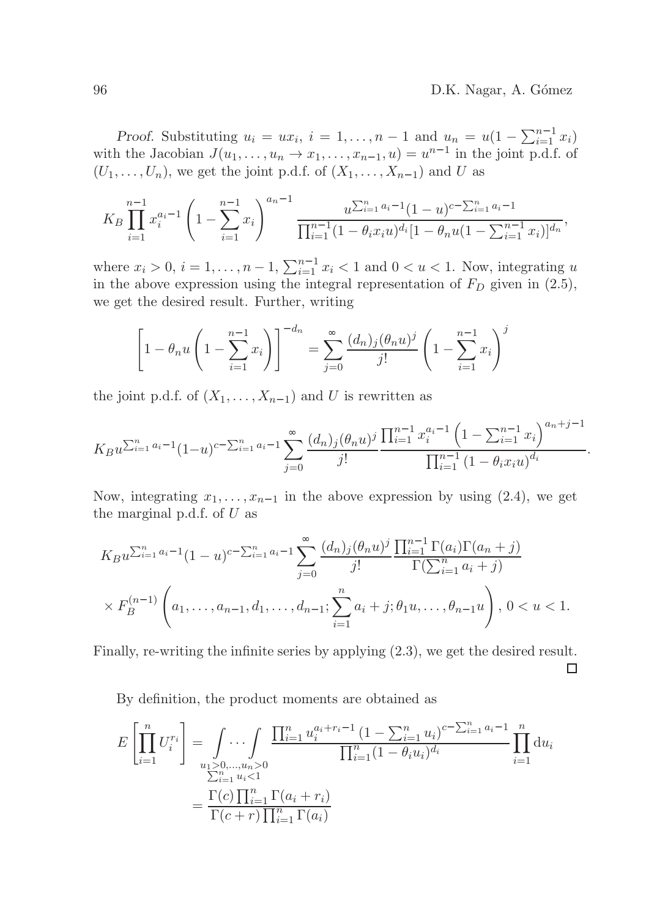Proof. Substituting  $u_i = ux_i$ ,  $i = 1,...,n-1$  and  $u_n = u(1 - \sum_{i=1}^{n-1} x_i)$ with the Jacobian  $J(u_1, \ldots, u_n \to x_1, \ldots, x_{n-1}, u) = u^{n-1}$  in the joint p.d.f. of  $(U_1, \ldots, U_n)$ , we get the joint p.d.f. of  $(X_1, \ldots, X_{n-1})$  and U as

$$
K_B \prod_{i=1}^{n-1} x_i^{a_i-1} \left(1 - \sum_{i=1}^{n-1} x_i\right)^{a_n-1} \frac{u^{\sum_{i=1}^n a_i-1} (1-u)^{c-\sum_{i=1}^n a_i-1}}{\prod_{i=1}^{n-1} (1-\theta_i x_i u)^{d_i} [1-\theta_n u (1-\sum_{i=1}^{n-1} x_i)]^{d_n}},
$$

where  $x_i > 0$ ,  $i = 1, ..., n - 1$ ,  $\sum_{i=1}^{n-1} x_i < 1$  and  $0 < u < 1$ . Now, integrating u in the above expression using the integral representation of  $F_D$  given in  $(2.5)$ , we get the desired result. Further, writing

$$
\left[1 - \theta_n u \left(1 - \sum_{i=1}^{n-1} x_i\right)\right]^{-d_n} = \sum_{j=0} \frac{(d_n)_j (\theta_n u)^j}{j!} \left(1 - \sum_{i=1}^{n-1} x_i\right)^j
$$

the joint p.d.f. of  $(X_1, \ldots, X_{n-1})$  and U is rewritten as

$$
K_{B}u^{\sum_{i=1}^{n}a_{i}-1}(1-u)^{c-\sum_{i=1}^{n}a_{i}-1}\sum_{j=0}\frac{(d_{n})_{j}(\theta_{n}u)^{j}}{j!}\frac{\prod_{i=1}^{n-1}x_{i}^{a_{i}-1}\left(1-\sum_{i=1}^{n-1}x_{i}\right)^{a_{n}+j-1}}{\prod_{i=1}^{n-1}(1-\theta_{i}x_{i}u)^{d_{i}}}.
$$

Now, integrating  $x_1, \ldots, x_{n-1}$  in the above expression by using (2.4), we get the marginal p.d.f. of  $U$  as

$$
K_{B}u^{\sum_{i=1}^{n}a_{i}-1}(1-u)^{c-\sum_{i=1}^{n}a_{i}-1}\sum_{j=0}\frac{(d_{n})_{j}(\theta_{n}u)^{j}}{j!}\frac{\prod_{i=1}^{n-1}\Gamma(a_{i})\Gamma(a_{n}+j)}{\Gamma(\sum_{i=1}^{n}a_{i}+j)}
$$

$$
\times F_{B}^{(n-1)}\left(a_{1},\ldots,a_{n-1},d_{1},\ldots,d_{n-1};\sum_{i=1}^{n}a_{i}+j;\theta_{1}u,\ldots,\theta_{n-1}u\right),\ 0
$$

Finally, re-writing the infinite series by applying (2.3), we get the desired result.

□

By definition, the product moments are obtained as

$$
E\left[\prod_{i=1}^{n} U_i^{r_i}\right] = \int \ldots \int \prod_{\substack{i=1 \ i \neq j}}^{n} \frac{\prod_{i=1}^{n} u_i^{a_i + r_i - 1} (1 - \sum_{i=1}^{n} u_i)^{c - \sum_{i=1}^{n} a_i - 1}}{\prod_{i=1}^{n} (1 - \theta_i u_i)^{d_i}} \prod_{i=1}^{n} du_i
$$

$$
= \frac{\Gamma(c) \prod_{i=1}^{n} \Gamma(a_i + r_i)}{\Gamma(c + r) \prod_{i=1}^{n} \Gamma(a_i)}
$$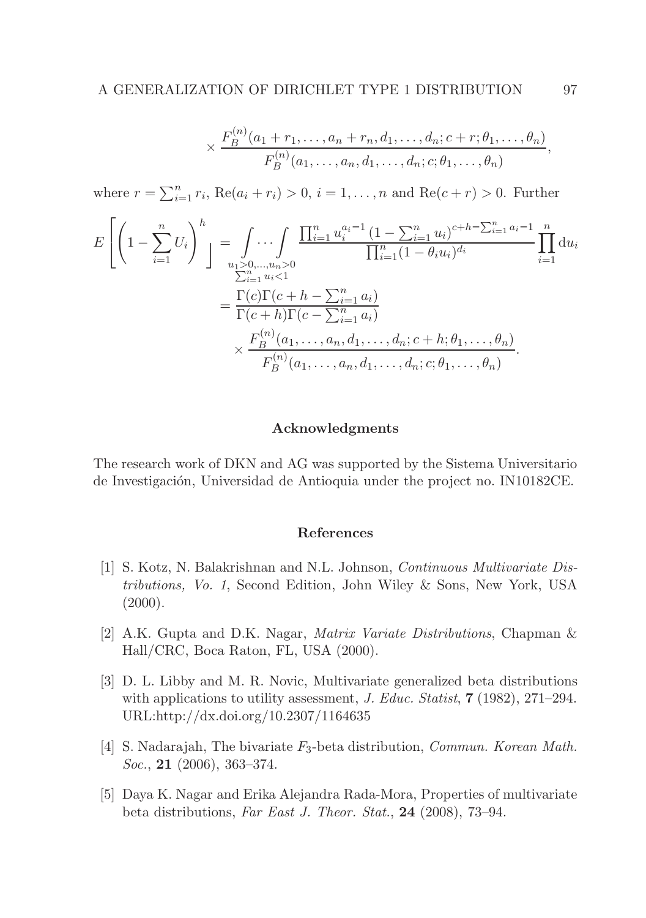$$
\times \frac{F_B^{(n)}(a_1+r_1,\ldots,a_n+r_n,d_1,\ldots,d_n;c+r;\theta_1,\ldots,\theta_n)}{F_B^{(n)}(a_1,\ldots,a_n,d_1,\ldots,d_n;c;\theta_1,\ldots,\theta_n)},
$$

where  $r = \sum_{i=1}^{n} r_i$ , Re $(a_i + r_i) > 0$ ,  $i = 1, ..., n$  and Re $(c + r) > 0$ . Further

$$
E\left[\left(1-\sum_{i=1}^{n}U_{i}\right)^{h}\right] = \int_{\substack{u_{1}>0,\ldots,u_{n}>0\\ \sum_{i=1}^{n}u_{i}<1}}\cdots\int_{\substack{\prod_{i=1}^{n}u_{i}^{a_{i}-1}(1-\sum_{i=1}^{n}u_{i})^{c+h-\sum_{i=1}^{n}a_{i}-1\\ \sum_{i=1}^{n}u_{i}<1}}\prod_{i=1}^{n}\mathrm{d}u_{i}
$$

$$
=\frac{\Gamma(c)\Gamma(c+h-\sum_{i=1}^{n}a_{i})}{\Gamma(c+h)\Gamma(c-\sum_{i=1}^{n}a_{i})}\times\frac{F_{B}^{(n)}(a_{1},\ldots,a_{n},d_{1},\ldots,d_{n};c+h;\theta_{1},\ldots,\theta_{n})}{F_{B}^{(n)}(a_{1},\ldots,a_{n},d_{1},\ldots,d_{n};c;\theta_{1},\ldots,\theta_{n})}.
$$

### Acknowledgments

The research work of DKN and AG was supported by the Sistema Universitario de Investigación, Universidad de Antioquia under the project no. IN10182CE.

#### References

- [1] S. Kotz, N. Balakrishnan and N.L. Johnson, Continuous Multivariate Distributions, Vo. 1, Second Edition, John Wiley & Sons, New York, USA  $(2000).$
- [2] A.K. Gupta and D.K. Nagar, Matrix Variate Distributions, Chapman & Hall/CRC, Boca Raton, FL, USA (2000).
- [3] D. L. Libby and M. R. Novic, Multivariate generalized beta distributions with applications to utility assessment, J. Educ. Statist,  $7(1982)$ , 271–294. URL:http://dx.doi.org/10.2307/1164635
- [4] S. Nadarajah, The bivariate  $F_3$ -beta distribution, *Commun. Korean Math.*  $Soc., 21$  (2006), 363–374.
- [5] Daya K. Nagar and Erika Alejandra Rada-Mora, Properties of multivariate beta distributions, Far East J. Theor. Stat., 24 (2008), 73–94.